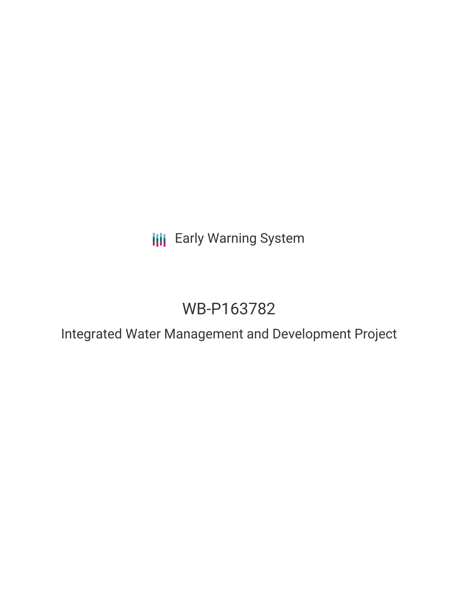**III** Early Warning System

# WB-P163782

Integrated Water Management and Development Project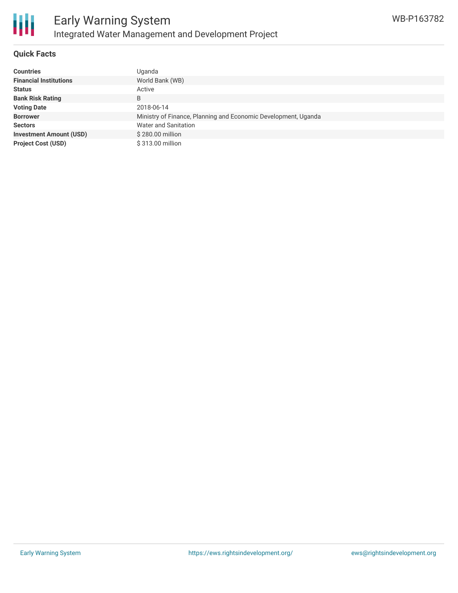

### **Quick Facts**

| <b>Countries</b>               | Uganda                                                         |
|--------------------------------|----------------------------------------------------------------|
| <b>Financial Institutions</b>  | World Bank (WB)                                                |
| <b>Status</b>                  | Active                                                         |
| <b>Bank Risk Rating</b>        | B                                                              |
| <b>Voting Date</b>             | 2018-06-14                                                     |
| <b>Borrower</b>                | Ministry of Finance, Planning and Economic Development, Uganda |
| <b>Sectors</b>                 | Water and Sanitation                                           |
| <b>Investment Amount (USD)</b> | \$280.00 million                                               |
| <b>Project Cost (USD)</b>      | \$313.00 million                                               |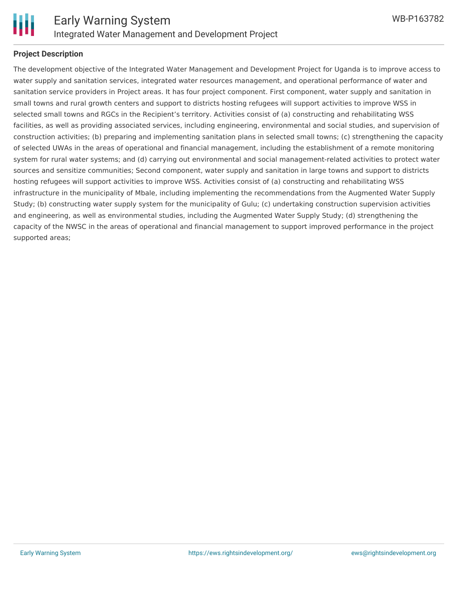

#### **Project Description**

The development objective of the Integrated Water Management and Development Project for Uganda is to improve access to water supply and sanitation services, integrated water resources management, and operational performance of water and sanitation service providers in Project areas. It has four project component. First component, water supply and sanitation in small towns and rural growth centers and support to districts hosting refugees will support activities to improve WSS in selected small towns and RGCs in the Recipient's territory. Activities consist of (a) constructing and rehabilitating WSS facilities, as well as providing associated services, including engineering, environmental and social studies, and supervision of construction activities; (b) preparing and implementing sanitation plans in selected small towns; (c) strengthening the capacity of selected UWAs in the areas of operational and financial management, including the establishment of a remote monitoring system for rural water systems; and (d) carrying out environmental and social management-related activities to protect water sources and sensitize communities; Second component, water supply and sanitation in large towns and support to districts hosting refugees will support activities to improve WSS. Activities consist of (a) constructing and rehabilitating WSS infrastructure in the municipality of Mbale, including implementing the recommendations from the Augmented Water Supply Study; (b) constructing water supply system for the municipality of Gulu; (c) undertaking construction supervision activities and engineering, as well as environmental studies, including the Augmented Water Supply Study; (d) strengthening the capacity of the NWSC in the areas of operational and financial management to support improved performance in the project supported areas;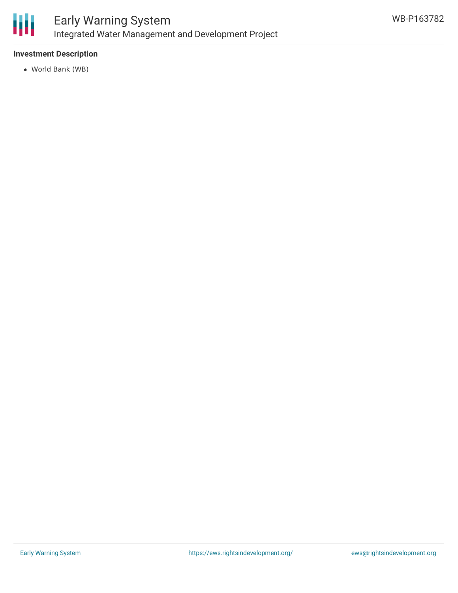

## **Investment Description**

World Bank (WB)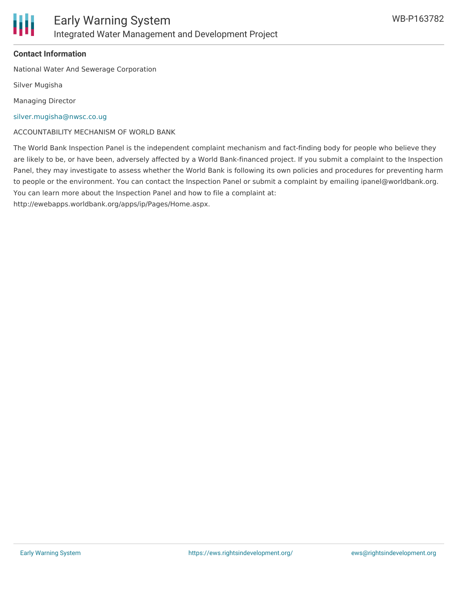

## **Contact Information**

National Water And Sewerage Corporation

Silver Mugisha

Managing Director

[silver.mugisha@nwsc.co.ug](mailto:silver.mugisha@nwsc.co.ug)

ACCOUNTABILITY MECHANISM OF WORLD BANK

The World Bank Inspection Panel is the independent complaint mechanism and fact-finding body for people who believe they are likely to be, or have been, adversely affected by a World Bank-financed project. If you submit a complaint to the Inspection Panel, they may investigate to assess whether the World Bank is following its own policies and procedures for preventing harm to people or the environment. You can contact the Inspection Panel or submit a complaint by emailing ipanel@worldbank.org. You can learn more about the Inspection Panel and how to file a complaint at:

http://ewebapps.worldbank.org/apps/ip/Pages/Home.aspx.